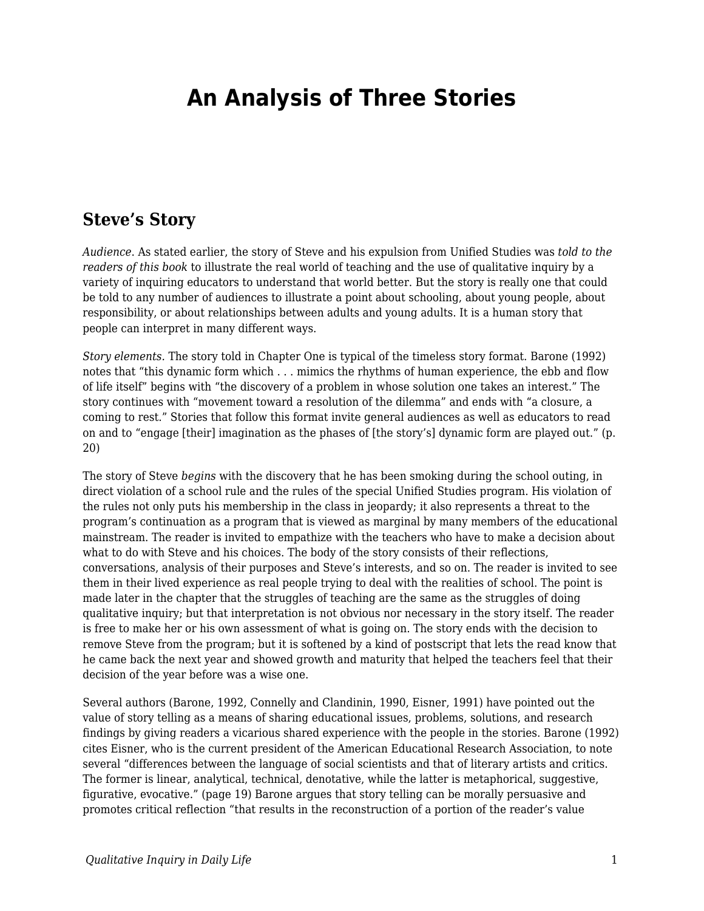# **An Analysis of Three Stories**

#### **Steve's Story**

*Audience*. As stated earlier, the story of Steve and his expulsion from Unified Studies was *told to the readers of this book* to illustrate the real world of teaching and the use of qualitative inquiry by a variety of inquiring educators to understand that world better. But the story is really one that could be told to any number of audiences to illustrate a point about schooling, about young people, about responsibility, or about relationships between adults and young adults. It is a human story that people can interpret in many different ways.

*Story elements.* The story told in Chapter One is typical of the timeless story format. Barone (1992) notes that "this dynamic form which . . . mimics the rhythms of human experience, the ebb and flow of life itself" begins with "the discovery of a problem in whose solution one takes an interest." The story continues with "movement toward a resolution of the dilemma" and ends with "a closure, a coming to rest." Stories that follow this format invite general audiences as well as educators to read on and to "engage [their] imagination as the phases of [the story's] dynamic form are played out." (p. 20)

The story of Steve *begins* with the discovery that he has been smoking during the school outing, in direct violation of a school rule and the rules of the special Unified Studies program. His violation of the rules not only puts his membership in the class in jeopardy; it also represents a threat to the program's continuation as a program that is viewed as marginal by many members of the educational mainstream. The reader is invited to empathize with the teachers who have to make a decision about what to do with Steve and his choices. The body of the story consists of their reflections, conversations, analysis of their purposes and Steve's interests, and so on. The reader is invited to see them in their lived experience as real people trying to deal with the realities of school. The point is made later in the chapter that the struggles of teaching are the same as the struggles of doing qualitative inquiry; but that interpretation is not obvious nor necessary in the story itself. The reader is free to make her or his own assessment of what is going on. The story ends with the decision to remove Steve from the program; but it is softened by a kind of postscript that lets the read know that he came back the next year and showed growth and maturity that helped the teachers feel that their decision of the year before was a wise one.

Several authors (Barone, 1992, Connelly and Clandinin, 1990, Eisner, 1991) have pointed out the value of story telling as a means of sharing educational issues, problems, solutions, and research findings by giving readers a vicarious shared experience with the people in the stories. Barone (1992) cites Eisner, who is the current president of the American Educational Research Association, to note several "differences between the language of social scientists and that of literary artists and critics. The former is linear, analytical, technical, denotative, while the latter is metaphorical, suggestive, figurative, evocative." (page 19) Barone argues that story telling can be morally persuasive and promotes critical reflection "that results in the reconstruction of a portion of the reader's value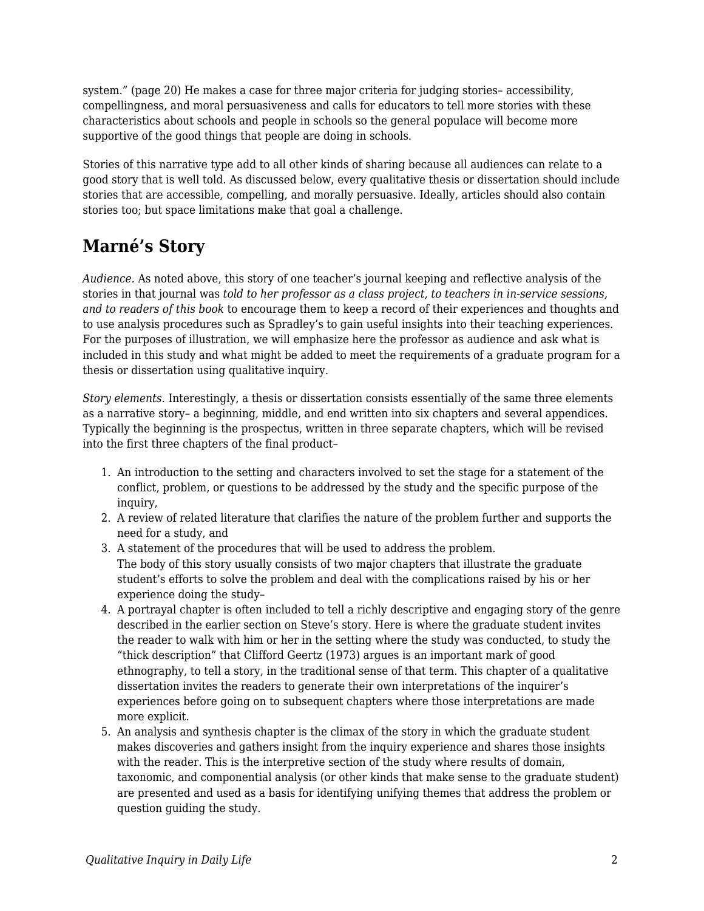system." (page 20) He makes a case for three major criteria for judging stories– accessibility, compellingness, and moral persuasiveness and calls for educators to tell more stories with these characteristics about schools and people in schools so the general populace will become more supportive of the good things that people are doing in schools.

Stories of this narrative type add to all other kinds of sharing because all audiences can relate to a good story that is well told. As discussed below, every qualitative thesis or dissertation should include stories that are accessible, compelling, and morally persuasive. Ideally, articles should also contain stories too; but space limitations make that goal a challenge.

# **Marné's Story**

*Audience.* As noted above, this story of one teacher's journal keeping and reflective analysis of the stories in that journal was *told to her professor as a class project, to teachers in in-service sessions, and to readers of this book* to encourage them to keep a record of their experiences and thoughts and to use analysis procedures such as Spradley's to gain useful insights into their teaching experiences. For the purposes of illustration, we will emphasize here the professor as audience and ask what is included in this study and what might be added to meet the requirements of a graduate program for a thesis or dissertation using qualitative inquiry.

*Story elements.* Interestingly, a thesis or dissertation consists essentially of the same three elements as a narrative story– a beginning, middle, and end written into six chapters and several appendices. Typically the beginning is the prospectus, written in three separate chapters, which will be revised into the first three chapters of the final product–

- 1. An introduction to the setting and characters involved to set the stage for a statement of the conflict, problem, or questions to be addressed by the study and the specific purpose of the inquiry,
- 2. A review of related literature that clarifies the nature of the problem further and supports the need for a study, and
- 3. A statement of the procedures that will be used to address the problem. The body of this story usually consists of two major chapters that illustrate the graduate student's efforts to solve the problem and deal with the complications raised by his or her experience doing the study–
- 4. A portrayal chapter is often included to tell a richly descriptive and engaging story of the genre described in the earlier section on Steve's story. Here is where the graduate student invites the reader to walk with him or her in the setting where the study was conducted, to study the "thick description" that Clifford Geertz (1973) argues is an important mark of good ethnography, to tell a story, in the traditional sense of that term. This chapter of a qualitative dissertation invites the readers to generate their own interpretations of the inquirer's experiences before going on to subsequent chapters where those interpretations are made more explicit.
- 5. An analysis and synthesis chapter is the climax of the story in which the graduate student makes discoveries and gathers insight from the inquiry experience and shares those insights with the reader. This is the interpretive section of the study where results of domain, taxonomic, and componential analysis (or other kinds that make sense to the graduate student) are presented and used as a basis for identifying unifying themes that address the problem or question guiding the study.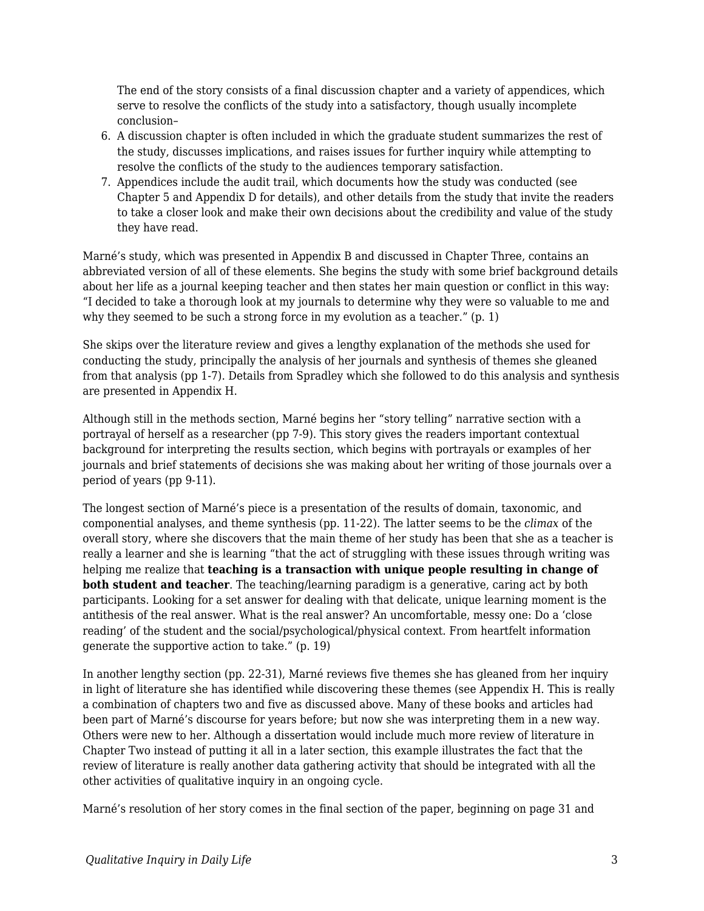The end of the story consists of a final discussion chapter and a variety of appendices, which serve to resolve the conflicts of the study into a satisfactory, though usually incomplete conclusion–

- 6. A discussion chapter is often included in which the graduate student summarizes the rest of the study, discusses implications, and raises issues for further inquiry while attempting to resolve the conflicts of the study to the audiences temporary satisfaction.
- 7. Appendices include the audit trail, which documents how the study was conducted (see Chapter 5 and Appendix D for details), and other details from the study that invite the readers to take a closer look and make their own decisions about the credibility and value of the study they have read.

Marné's study, which was presented in Appendix B and discussed in Chapter Three, contains an abbreviated version of all of these elements. She begins the study with some brief background details about her life as a journal keeping teacher and then states her main question or conflict in this way: "I decided to take a thorough look at my journals to determine why they were so valuable to me and why they seemed to be such a strong force in my evolution as a teacher." (p. 1)

She skips over the literature review and gives a lengthy explanation of the methods she used for conducting the study, principally the analysis of her journals and synthesis of themes she gleaned from that analysis (pp 1-7). Details from Spradley which she followed to do this analysis and synthesis are presented in Appendix H.

Although still in the methods section, Marné begins her "story telling" narrative section with a portrayal of herself as a researcher (pp 7-9). This story gives the readers important contextual background for interpreting the results section, which begins with portrayals or examples of her journals and brief statements of decisions she was making about her writing of those journals over a period of years (pp 9-11).

The longest section of Marné's piece is a presentation of the results of domain, taxonomic, and componential analyses, and theme synthesis (pp. 11-22). The latter seems to be the *climax* of the overall story, where she discovers that the main theme of her study has been that she as a teacher is really a learner and she is learning "that the act of struggling with these issues through writing was helping me realize that **teaching is a transaction with unique people resulting in change of both student and teacher**. The teaching/learning paradigm is a generative, caring act by both participants. Looking for a set answer for dealing with that delicate, unique learning moment is the antithesis of the real answer. What is the real answer? An uncomfortable, messy one: Do a 'close reading' of the student and the social/psychological/physical context. From heartfelt information generate the supportive action to take." (p. 19)

In another lengthy section (pp. 22-31), Marné reviews five themes she has gleaned from her inquiry in light of literature she has identified while discovering these themes (see Appendix H. This is really a combination of chapters two and five as discussed above. Many of these books and articles had been part of Marné's discourse for years before; but now she was interpreting them in a new way. Others were new to her. Although a dissertation would include much more review of literature in Chapter Two instead of putting it all in a later section, this example illustrates the fact that the review of literature is really another data gathering activity that should be integrated with all the other activities of qualitative inquiry in an ongoing cycle.

Marné's resolution of her story comes in the final section of the paper, beginning on page 31 and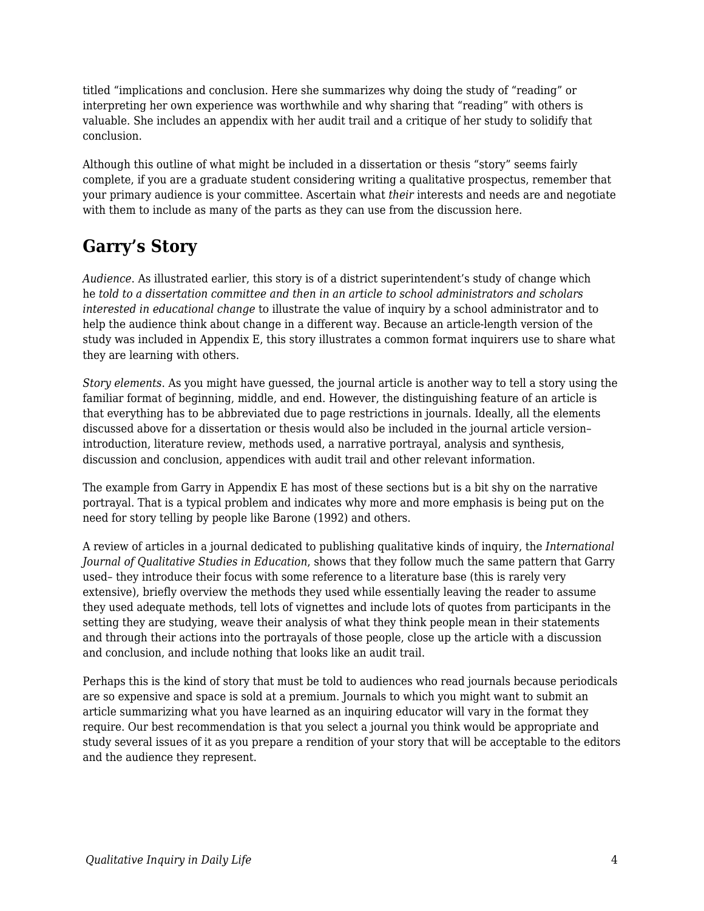titled "implications and conclusion. Here she summarizes why doing the study of "reading" or interpreting her own experience was worthwhile and why sharing that "reading" with others is valuable. She includes an appendix with her audit trail and a critique of her study to solidify that conclusion.

Although this outline of what might be included in a dissertation or thesis "story" seems fairly complete, if you are a graduate student considering writing a qualitative prospectus, remember that your primary audience is your committee. Ascertain what *their* interests and needs are and negotiate with them to include as many of the parts as they can use from the discussion here.

## **Garry's Story**

*Audience*. As illustrated earlier, this story is of a district superintendent's study of change which he *told to a dissertation committee and then in an article to school administrators and scholars interested in educational change* to illustrate the value of inquiry by a school administrator and to help the audience think about change in a different way. Because an article-length version of the study was included in Appendix E, this story illustrates a common format inquirers use to share what they are learning with others.

*Story elements*. As you might have guessed, the journal article is another way to tell a story using the familiar format of beginning, middle, and end. However, the distinguishing feature of an article is that everything has to be abbreviated due to page restrictions in journals. Ideally, all the elements discussed above for a dissertation or thesis would also be included in the journal article version– introduction, literature review, methods used, a narrative portrayal, analysis and synthesis, discussion and conclusion, appendices with audit trail and other relevant information.

The example from Garry in Appendix E has most of these sections but is a bit shy on the narrative portrayal. That is a typical problem and indicates why more and more emphasis is being put on the need for story telling by people like Barone (1992) and others.

A review of articles in a journal dedicated to publishing qualitative kinds of inquiry, the *International Journal of Qualitative Studies in Education*, shows that they follow much the same pattern that Garry used– they introduce their focus with some reference to a literature base (this is rarely very extensive), briefly overview the methods they used while essentially leaving the reader to assume they used adequate methods, tell lots of vignettes and include lots of quotes from participants in the setting they are studying, weave their analysis of what they think people mean in their statements and through their actions into the portrayals of those people, close up the article with a discussion and conclusion, and include nothing that looks like an audit trail.

Perhaps this is the kind of story that must be told to audiences who read journals because periodicals are so expensive and space is sold at a premium. Journals to which you might want to submit an article summarizing what you have learned as an inquiring educator will vary in the format they require. Our best recommendation is that you select a journal you think would be appropriate and study several issues of it as you prepare a rendition of your story that will be acceptable to the editors and the audience they represent.